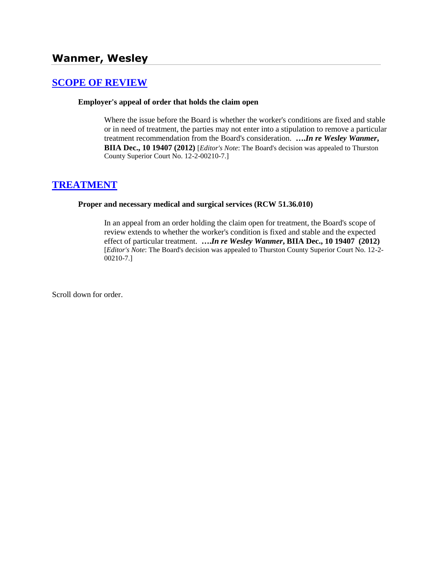# **[SCOPE OF REVIEW](http://www.biia.wa.gov/SDSubjectIndex.html#SCOPE_OF_REVIEW)**

#### **Employer's appeal of order that holds the claim open**

Where the issue before the Board is whether the worker's conditions are fixed and stable or in need of treatment, the parties may not enter into a stipulation to remove a particular treatment recommendation from the Board's consideration. **….***In re Wesley Wanmer***, BIIA Dec., 10 19407 (2012)** [*Editor's Note*: The Board's decision was appealed to Thurston County Superior Court No. 12-2-00210-7.]

### **[TREATMENT](http://www.biia.wa.gov/SDSubjectIndex.html#TREATMENT)**

#### **Proper and necessary medical and surgical services (RCW 51.36.010)**

In an appeal from an order holding the claim open for treatment, the Board's scope of review extends to whether the worker's condition is fixed and stable and the expected effect of particular treatment. **….***In re Wesley Wanmer***, BIIA Dec., 10 19407 (2012)**  [*Editor's Note*: The Board's decision was appealed to Thurston County Superior Court No. 12-2- 00210-7.]

Scroll down for order.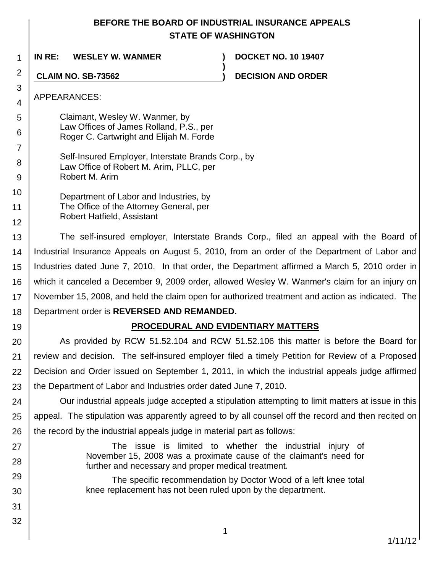## **BEFORE THE BOARD OF INDUSTRIAL INSURANCE APPEALS STATE OF WASHINGTON**

**)**

1 **IN RE: WESLEY W. WANMER ) DOCKET NO. 10 19407**

**CLAIM NO. SB-73562 ) DECISION AND ORDER**

APPEARANCES:

2

3 4

5

6

7

8 9

10

11

12

19

27

28 29

30

31

32

Claimant, Wesley W. Wanmer, by Law Offices of James Rolland, P.S., per Roger C. Cartwright and Elijah M. Forde

Self-Insured Employer, Interstate Brands Corp., by Law Office of Robert M. Arim, PLLC, per Robert M. Arim

Department of Labor and Industries, by The Office of the Attorney General, per Robert Hatfield, Assistant

13 14 15 16 17 18 The self-insured employer, Interstate Brands Corp., filed an appeal with the Board of Industrial Insurance Appeals on August 5, 2010, from an order of the Department of Labor and Industries dated June 7, 2010. In that order, the Department affirmed a March 5, 2010 order in which it canceled a December 9, 2009 order, allowed Wesley W. Wanmer's claim for an injury on November 15, 2008, and held the claim open for authorized treatment and action as indicated. The Department order is **REVERSED AND REMANDED.**

## **PROCEDURAL AND EVIDENTIARY MATTERS**

20 21 22 23 As provided by RCW 51.52.104 and RCW 51.52.106 this matter is before the Board for review and decision. The self-insured employer filed a timely Petition for Review of a Proposed Decision and Order issued on September 1, 2011, in which the industrial appeals judge affirmed the Department of Labor and Industries order dated June 7, 2010.

24 25 26 Our industrial appeals judge accepted a stipulation attempting to limit matters at issue in this appeal. The stipulation was apparently agreed to by all counsel off the record and then recited on the record by the industrial appeals judge in material part as follows:

> The issue is limited to whether the industrial injury of November 15, 2008 was a proximate cause of the claimant's need for further and necessary and proper medical treatment.

The specific recommendation by Doctor Wood of a left knee total knee replacement has not been ruled upon by the department.

1/11/12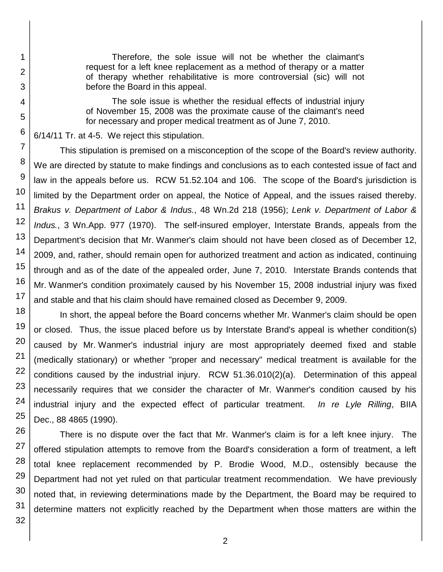Therefore, the sole issue will not be whether the claimant's request for a left knee replacement as a method of therapy or a matter of therapy whether rehabilitative is more controversial (sic) will not before the Board in this appeal.

The sole issue is whether the residual effects of industrial injury of November 15, 2008 was the proximate cause of the claimant's need for necessary and proper medical treatment as of June 7, 2010.

6/14/11 Tr. at 4-5. We reject this stipulation.

This stipulation is premised on a misconception of the scope of the Board's review authority. We are directed by statute to make findings and conclusions as to each contested issue of fact and law in the appeals before us. RCW 51.52.104 and 106. The scope of the Board's jurisdiction is limited by the Department order on appeal, the Notice of Appeal, and the issues raised thereby. *Brakus v. Department of Labor & Indus.*, 48 Wn.2d 218 (1956); *Lenk v. Department of Labor & Indus.*, 3 Wn.App. 977 (1970). The self-insured employer, Interstate Brands, appeals from the Department's decision that Mr. Wanmer's claim should not have been closed as of December 12, 2009, and, rather, should remain open for authorized treatment and action as indicated, continuing through and as of the date of the appealed order, June 7, 2010. Interstate Brands contends that Mr. Wanmer's condition proximately caused by his November 15, 2008 industrial injury was fixed and stable and that his claim should have remained closed as December 9, 2009.

18 In short, the appeal before the Board concerns whether Mr. Wanmer's claim should be open or closed. Thus, the issue placed before us by Interstate Brand's appeal is whether condition(s) caused by Mr. Wanmer's industrial injury are most appropriately deemed fixed and stable (medically stationary) or whether "proper and necessary" medical treatment is available for the conditions caused by the industrial injury. RCW 51.36.010(2)(a). Determination of this appeal necessarily requires that we consider the character of Mr. Wanmer's condition caused by his industrial injury and the expected effect of particular treatment. *In re Lyle Rilling*, BIIA Dec., 88 4865 (1990).

There is no dispute over the fact that Mr. Wanmer's claim is for a left knee injury. The offered stipulation attempts to remove from the Board's consideration a form of treatment, a left total knee replacement recommended by P. Brodie Wood, M.D., ostensibly because the Department had not yet ruled on that particular treatment recommendation. We have previously noted that, in reviewing determinations made by the Department, the Board may be required to determine matters not explicitly reached by the Department when those matters are within the

1

2

3

4

5

6

7

8

9

10

11

12

13

14

15

16

17

19

20

21

22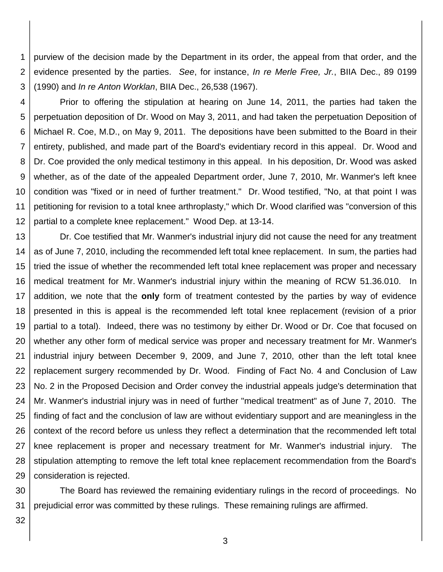1 2 3 purview of the decision made by the Department in its order, the appeal from that order, and the evidence presented by the parties. *See*, for instance, *In re Merle Free, Jr.*, BIIA Dec., 89 0199 (1990) and *In re Anton Worklan*, BIIA Dec., 26,538 (1967).

4 5 6 7 8 9 10 11 Prior to offering the stipulation at hearing on June 14, 2011, the parties had taken the perpetuation deposition of Dr. Wood on May 3, 2011, and had taken the perpetuation Deposition of Michael R. Coe, M.D., on May 9, 2011. The depositions have been submitted to the Board in their entirety, published, and made part of the Board's evidentiary record in this appeal. Dr. Wood and Dr. Coe provided the only medical testimony in this appeal. In his deposition, Dr. Wood was asked whether, as of the date of the appealed Department order, June 7, 2010, Mr. Wanmer's left knee condition was "fixed or in need of further treatment." Dr. Wood testified, "No, at that point I was petitioning for revision to a total knee arthroplasty," which Dr. Wood clarified was "conversion of this

12 partial to a complete knee replacement." Wood Dep. at 13-14.

13 14 15 16 17 18 19 20 21 22 23 24 25 26 27 28 29 Dr. Coe testified that Mr. Wanmer's industrial injury did not cause the need for any treatment as of June 7, 2010, including the recommended left total knee replacement. In sum, the parties had tried the issue of whether the recommended left total knee replacement was proper and necessary medical treatment for Mr. Wanmer's industrial injury within the meaning of RCW 51.36.010. In addition, we note that the **only** form of treatment contested by the parties by way of evidence presented in this is appeal is the recommended left total knee replacement (revision of a prior partial to a total). Indeed, there was no testimony by either Dr. Wood or Dr. Coe that focused on whether any other form of medical service was proper and necessary treatment for Mr. Wanmer's industrial injury between December 9, 2009, and June 7, 2010, other than the left total knee replacement surgery recommended by Dr. Wood. Finding of Fact No. 4 and Conclusion of Law No. 2 in the Proposed Decision and Order convey the industrial appeals judge's determination that Mr. Wanmer's industrial injury was in need of further "medical treatment" as of June 7, 2010. The finding of fact and the conclusion of law are without evidentiary support and are meaningless in the context of the record before us unless they reflect a determination that the recommended left total knee replacement is proper and necessary treatment for Mr. Wanmer's industrial injury. The stipulation attempting to remove the left total knee replacement recommendation from the Board's consideration is rejected.

30 31 The Board has reviewed the remaining evidentiary rulings in the record of proceedings. No prejudicial error was committed by these rulings. These remaining rulings are affirmed.

32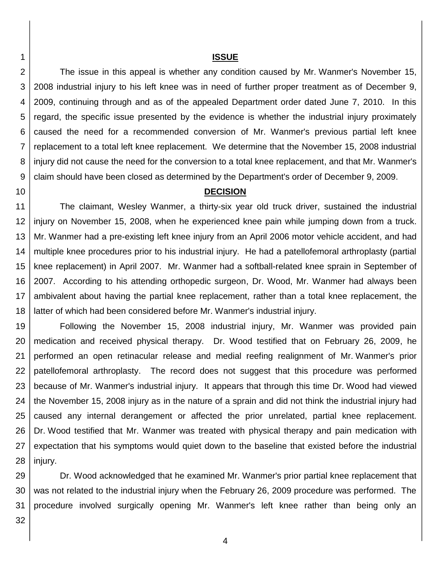#### **ISSUE**

2 3 4 5 6 7 8 9 The issue in this appeal is whether any condition caused by Mr. Wanmer's November 15, 2008 industrial injury to his left knee was in need of further proper treatment as of December 9, 2009, continuing through and as of the appealed Department order dated June 7, 2010. In this regard, the specific issue presented by the evidence is whether the industrial injury proximately caused the need for a recommended conversion of Mr. Wanmer's previous partial left knee replacement to a total left knee replacement. We determine that the November 15, 2008 industrial injury did not cause the need for the conversion to a total knee replacement, and that Mr. Wanmer's claim should have been closed as determined by the Department's order of December 9, 2009.

10

1

#### **DECISION**

11 12 13 14 15 16 17 18 The claimant, Wesley Wanmer, a thirty-six year old truck driver, sustained the industrial injury on November 15, 2008, when he experienced knee pain while jumping down from a truck. Mr. Wanmer had a pre-existing left knee injury from an April 2006 motor vehicle accident, and had multiple knee procedures prior to his industrial injury. He had a patellofemoral arthroplasty (partial knee replacement) in April 2007. Mr. Wanmer had a softball-related knee sprain in September of 2007. According to his attending orthopedic surgeon, Dr. Wood, Mr. Wanmer had always been ambivalent about having the partial knee replacement, rather than a total knee replacement, the latter of which had been considered before Mr. Wanmer's industrial injury.

19 20 21 22 23 24 25 26 27 28 Following the November 15, 2008 industrial injury, Mr. Wanmer was provided pain medication and received physical therapy. Dr. Wood testified that on February 26, 2009, he performed an open retinacular release and medial reefing realignment of Mr. Wanmer's prior patellofemoral arthroplasty. The record does not suggest that this procedure was performed because of Mr. Wanmer's industrial injury. It appears that through this time Dr. Wood had viewed the November 15, 2008 injury as in the nature of a sprain and did not think the industrial injury had caused any internal derangement or affected the prior unrelated, partial knee replacement. Dr. Wood testified that Mr. Wanmer was treated with physical therapy and pain medication with expectation that his symptoms would quiet down to the baseline that existed before the industrial injury.

29 30 31 Dr. Wood acknowledged that he examined Mr. Wanmer's prior partial knee replacement that was not related to the industrial injury when the February 26, 2009 procedure was performed. The procedure involved surgically opening Mr. Wanmer's left knee rather than being only an

32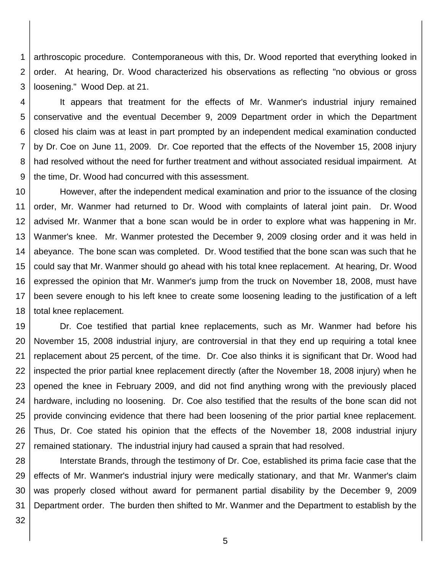1 2 3 arthroscopic procedure. Contemporaneous with this, Dr. Wood reported that everything looked in order. At hearing, Dr. Wood characterized his observations as reflecting "no obvious or gross loosening." Wood Dep. at 21.

4 5 6 7 8 9 It appears that treatment for the effects of Mr. Wanmer's industrial injury remained conservative and the eventual December 9, 2009 Department order in which the Department closed his claim was at least in part prompted by an independent medical examination conducted by Dr. Coe on June 11, 2009. Dr. Coe reported that the effects of the November 15, 2008 injury had resolved without the need for further treatment and without associated residual impairment. At the time, Dr. Wood had concurred with this assessment.

10 11 12 13 14 15 16 17 18 However, after the independent medical examination and prior to the issuance of the closing order, Mr. Wanmer had returned to Dr. Wood with complaints of lateral joint pain. Dr. Wood advised Mr. Wanmer that a bone scan would be in order to explore what was happening in Mr. Wanmer's knee. Mr. Wanmer protested the December 9, 2009 closing order and it was held in abeyance. The bone scan was completed. Dr. Wood testified that the bone scan was such that he could say that Mr. Wanmer should go ahead with his total knee replacement. At hearing, Dr. Wood expressed the opinion that Mr. Wanmer's jump from the truck on November 18, 2008, must have been severe enough to his left knee to create some loosening leading to the justification of a left total knee replacement.

19 20 21 22 23 24 25 26 27 Dr. Coe testified that partial knee replacements, such as Mr. Wanmer had before his November 15, 2008 industrial injury, are controversial in that they end up requiring a total knee replacement about 25 percent, of the time. Dr. Coe also thinks it is significant that Dr. Wood had inspected the prior partial knee replacement directly (after the November 18, 2008 injury) when he opened the knee in February 2009, and did not find anything wrong with the previously placed hardware, including no loosening. Dr. Coe also testified that the results of the bone scan did not provide convincing evidence that there had been loosening of the prior partial knee replacement. Thus, Dr. Coe stated his opinion that the effects of the November 18, 2008 industrial injury remained stationary. The industrial injury had caused a sprain that had resolved.

28 29 30 31 Interstate Brands, through the testimony of Dr. Coe, established its prima facie case that the effects of Mr. Wanmer's industrial injury were medically stationary, and that Mr. Wanmer's claim was properly closed without award for permanent partial disability by the December 9, 2009 Department order. The burden then shifted to Mr. Wanmer and the Department to establish by the

32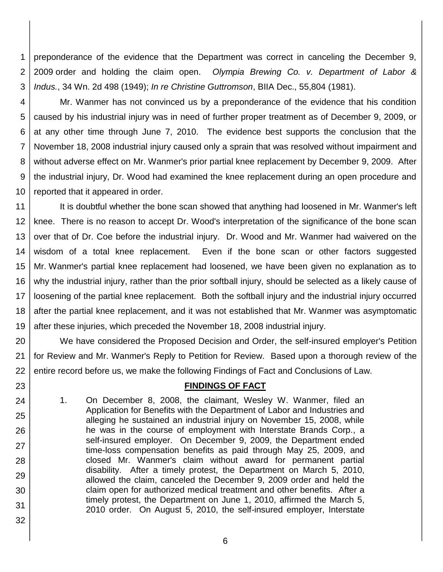1 2 3 preponderance of the evidence that the Department was correct in canceling the December 9, 2009 order and holding the claim open. *Olympia Brewing Co. v. Department of Labor & Indus.*, 34 Wn. 2d 498 (1949); *In re Christine Guttromson*, BIIA Dec., 55,804 (1981).

23

24

25

26

27

28

29

30

31

32

4 5 6 7 8 9 10 Mr. Wanmer has not convinced us by a preponderance of the evidence that his condition caused by his industrial injury was in need of further proper treatment as of December 9, 2009, or at any other time through June 7, 2010. The evidence best supports the conclusion that the November 18, 2008 industrial injury caused only a sprain that was resolved without impairment and without adverse effect on Mr. Wanmer's prior partial knee replacement by December 9, 2009. After the industrial injury, Dr. Wood had examined the knee replacement during an open procedure and reported that it appeared in order.

11 12 13 14 15 16 17 18 19 It is doubtful whether the bone scan showed that anything had loosened in Mr. Wanmer's left knee. There is no reason to accept Dr. Wood's interpretation of the significance of the bone scan over that of Dr. Coe before the industrial injury. Dr. Wood and Mr. Wanmer had waivered on the wisdom of a total knee replacement. Even if the bone scan or other factors suggested Mr. Wanmer's partial knee replacement had loosened, we have been given no explanation as to why the industrial injury, rather than the prior softball injury, should be selected as a likely cause of loosening of the partial knee replacement. Both the softball injury and the industrial injury occurred after the partial knee replacement, and it was not established that Mr. Wanmer was asymptomatic after these injuries, which preceded the November 18, 2008 industrial injury.

20 21 22 We have considered the Proposed Decision and Order, the self-insured employer's Petition for Review and Mr. Wanmer's Reply to Petition for Review. Based upon a thorough review of the entire record before us, we make the following Findings of Fact and Conclusions of Law.

### **FINDINGS OF FACT**

1. On December 8, 2008, the claimant, Wesley W. Wanmer, filed an Application for Benefits with the Department of Labor and Industries and alleging he sustained an industrial injury on November 15, 2008, while he was in the course of employment with Interstate Brands Corp., a self-insured employer. On December 9, 2009, the Department ended time-loss compensation benefits as paid through May 25, 2009, and closed Mr. Wanmer's claim without award for permanent partial disability. After a timely protest, the Department on March 5, 2010, allowed the claim, canceled the December 9, 2009 order and held the claim open for authorized medical treatment and other benefits. After a timely protest, the Department on June 1, 2010, affirmed the March 5, 2010 order. On August 5, 2010, the self-insured employer, Interstate